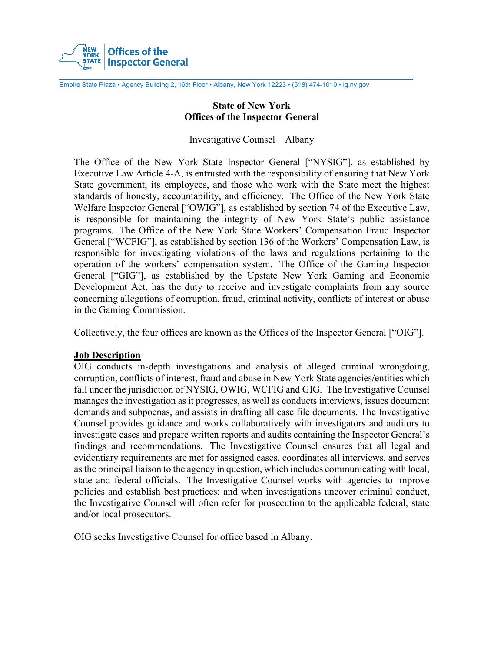

Empire State Plaza • Agency Building 2, 16th Floor • Albany, New York 12223 • (518) 474-1010 • ig.ny.gov

#### **State of New York Offices of the Inspector General**

Investigative Counsel – Albany

The Office of the New York State Inspector General ["NYSIG"], as established by Executive Law Article 4-A, is entrusted with the responsibility of ensuring that New York State government, its employees, and those who work with the State meet the highest standards of honesty, accountability, and efficiency. The Office of the New York State Welfare Inspector General ["OWIG"], as established by section 74 of the Executive Law, is responsible for maintaining the integrity of New York State's public assistance programs. The Office of the New York State Workers' Compensation Fraud Inspector General ["WCFIG"], as established by section 136 of the Workers' Compensation Law, is responsible for investigating violations of the laws and regulations pertaining to the operation of the workers' compensation system. The Office of the Gaming Inspector General ["GIG"], as established by the Upstate New York Gaming and Economic Development Act, has the duty to receive and investigate complaints from any source concerning allegations of corruption, fraud, criminal activity, conflicts of interest or abuse in the Gaming Commission.

Collectively, the four offices are known as the Offices of the Inspector General ["OIG"].

#### **Job Description**

OIG conducts in-depth investigations and analysis of alleged criminal wrongdoing, corruption, conflicts of interest, fraud and abuse in New York State agencies/entities which fall under the jurisdiction of NYSIG, OWIG, WCFIG and GIG. The Investigative Counsel manages the investigation as it progresses, as well as conducts interviews, issues document demands and subpoenas, and assists in drafting all case file documents. The Investigative Counsel provides guidance and works collaboratively with investigators and auditors to investigate cases and prepare written reports and audits containing the Inspector General's findings and recommendations. The Investigative Counsel ensures that all legal and evidentiary requirements are met for assigned cases, coordinates all interviews, and serves as the principal liaison to the agency in question, which includes communicating with local, state and federal officials. The Investigative Counsel works with agencies to improve policies and establish best practices; and when investigations uncover criminal conduct, the Investigative Counsel will often refer for prosecution to the applicable federal, state and/or local prosecutors.

OIG seeks Investigative Counsel for office based in Albany.